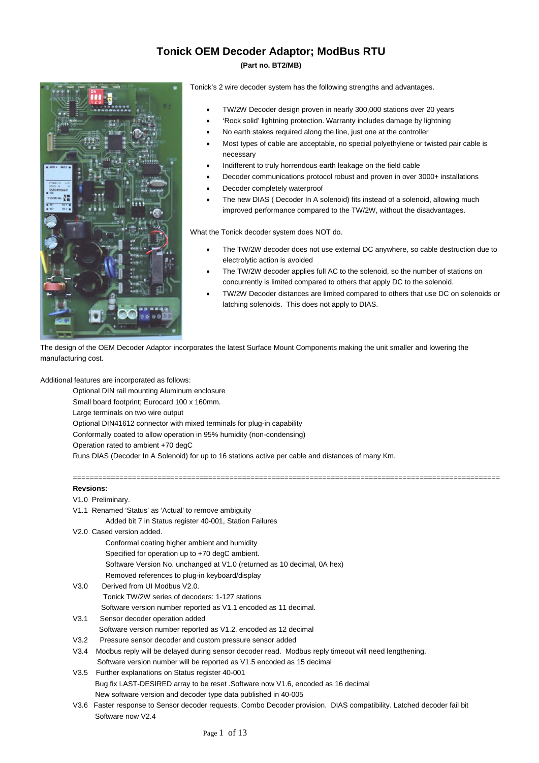## **Tonick OEM Decoder Adaptor; ModBus RTU**

#### **(Part no. BT2/MB)**



Tonick's 2 wire decoder system has the following strengths and advantages.

- TW/2W Decoder design proven in nearly 300,000 stations over 20 years
- 'Rock solid' lightning protection. Warranty includes damage by lightning
- No earth stakes required along the line, just one at the controller
- Most types of cable are acceptable, no special polyethylene or twisted pair cable is necessary
- Indifferent to truly horrendous earth leakage on the field cable
- Decoder communications protocol robust and proven in over 3000+ installations
- Decoder completely waterproof
- The new DIAS ( Decoder In A solenoid) fits instead of a solenoid, allowing much improved performance compared to the TW/2W, without the disadvantages.

What the Tonick decoder system does NOT do.

- The TW/2W decoder does not use external DC anywhere, so cable destruction due to electrolytic action is avoided
- The TW/2W decoder applies full AC to the solenoid, so the number of stations on concurrently is limited compared to others that apply DC to the solenoid.
- TW/2W Decoder distances are limited compared to others that use DC on solenoids or latching solenoids. This does not apply to DIAS.

The design of the OEM Decoder Adaptor incorporates the latest Surface Mount Components making the unit smaller and lowering the manufacturing cost.

=====================================================================================================

Additional features are incorporated as follows:

Optional DIN rail mounting Aluminum enclosure Small board footprint; Eurocard 100 x 160mm. Large terminals on two wire output Optional DIN41612 connector with mixed terminals for plug-in capability Conformally coated to allow operation in 95% humidity (non-condensing) Operation rated to ambient +70 degC Runs DIAS (Decoder In A Solenoid) for up to 16 stations active per cable and distances of many Km.

#### **Revsions:**

#### V1.0 Preliminary.

V1.1 Renamed 'Status' as 'Actual' to remove ambiguity

Added bit 7 in Status register 40-001, Station Failures

- V2.0 Cased version added.
	- Conformal coating higher ambient and humidity
	- Specified for operation up to +70 degC ambient.
	- Software Version No. unchanged at V1.0 (returned as 10 decimal, 0A hex)
	- Removed references to plug-in keyboard/display
- V3.0 Derived from UI Modbus V2.0. Tonick TW/2W series of decoders: 1-127 stations Software version number reported as V1.1 encoded as 11 decimal.
- V3.1 Sensor decoder operation added Software version number reported as V1.2. encoded as 12 decimal
- V3.2 Pressure sensor decoder and custom pressure sensor added
- V3.4 Modbus reply will be delayed during sensor decoder read. Modbus reply timeout will need lengthening. Software version number will be reported as V1.5 encoded as 15 decimal
- V3.5 Further explanations on Status register 40-001 Bug fix LAST-DESIRED array to be reset .Software now V1.6, encoded as 16 decimal New software version and decoder type data published in 40-005
- V3.6 Faster response to Sensor decoder requests. Combo Decoder provision. DIAS compatibility. Latched decoder fail bit Software now V2.4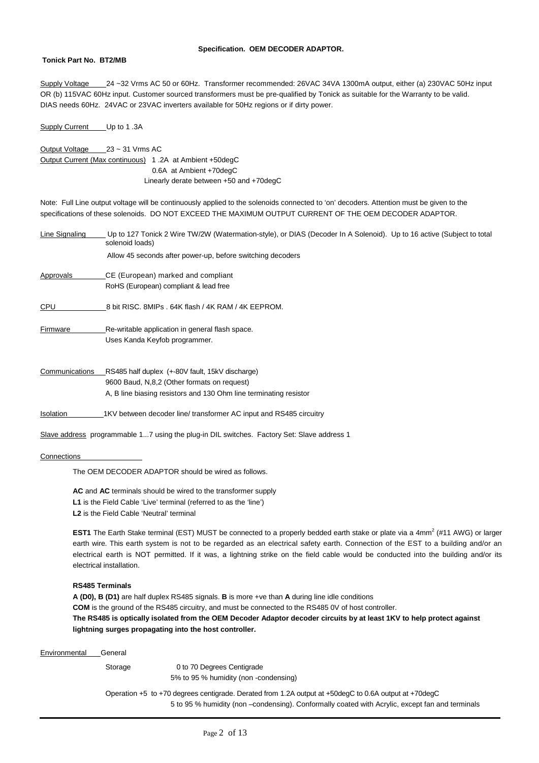#### **Specification. OEM DECODER ADAPTOR.**

#### **Tonick Part No. BT2/MB**

Supply Voltage 24 ~32 Vrms AC 50 or 60Hz. Transformer recommended: 26VAC 34VA 1300mA output, either (a) 230VAC 50Hz input OR (b) 115VAC 60Hz input. Customer sourced transformers must be pre-qualified by Tonick as suitable for the Warranty to be valid. DIAS needs 60Hz. 24VAC or 23VAC inverters available for 50Hz regions or if dirty power.

Supply Current Up to 1.3A

Output Voltage 23 ~ 31 Vrms AC Output Current (Max continuous) 1 .2A at Ambient +50degC 0.6A at Ambient +70degC Linearly derate between +50 and +70degC

Note: Full Line output voltage will be continuously applied to the solenoids connected to 'on' decoders. Attention must be given to the specifications of these solenoids. DO NOT EXCEED THE MAXIMUM OUTPUT CURRENT OF THE OEM DECODER ADAPTOR.

| Line Signaling | Up to 127 Tonick 2 Wire TW/2W (Watermation-style), or DIAS (Decoder In A Solenoid). Up to 16 active (Subject to total<br>solenoid loads) |
|----------------|------------------------------------------------------------------------------------------------------------------------------------------|
|                | Allow 45 seconds after power-up, before switching decoders                                                                               |
| Approvals      | CE (European) marked and compliant                                                                                                       |
|                | RoHS (European) compliant & lead free                                                                                                    |
| CPU            | 8 bit RISC, 8MIPs, 64K flash / 4K RAM / 4K EEPROM.                                                                                       |
| Firmware       | Re-writable application in general flash space.                                                                                          |
|                | Uses Kanda Keyfob programmer.                                                                                                            |
| Communications | RS485 half duplex (+-80V fault, 15kV discharge)                                                                                          |
|                | 9600 Baud, N,8,2 (Other formats on request)                                                                                              |
|                | A, B line biasing resistors and 130 Ohm line terminating resistor                                                                        |
| Isolation      | 1KV between decoder line/transformer AC input and RS485 circuitry                                                                        |

Slave address programmable 1...7 using the plug-in DIL switches. Factory Set: Slave address 1

#### **Connections**

The OEM DECODER ADAPTOR should be wired as follows.

**AC** and **AC** terminals should be wired to the transformer supply L1 is the Field Cable 'Live' terminal (referred to as the 'line') **L2** is the Field Cable 'Neutral' terminal

**EST1** The Earth Stake terminal (EST) MUST be connected to a properly bedded earth stake or plate via a 4mm<sup>2</sup> (#11 AWG) or larger earth wire. This earth system is not to be regarded as an electrical safety earth. Connection of the EST to a building and/or an electrical earth is NOT permitted. If it was, a lightning strike on the field cable would be conducted into the building and/or its electrical installation.

#### **RS485 Terminals**

**A (D0), B (D1)** are half duplex RS485 signals. **B** is more +ve than **A** during line idle conditions **COM** is the ground of the RS485 circuitry, and must be connected to the RS485 0V of host controller. **The RS485 is optically isolated from the OEM Decoder Adaptor decoder circuits by at least 1KV to help protect against lightning surges propagating into the host controller.**

Environmental General

Storage 0 to 70 Degrees Centigrade

5% to 95 % humidity (non -condensing)

Operation +5 to +70 degrees centigrade. Derated from 1.2A output at +50degC to 0.6A output at +70degC 5 to 95 % humidity (non –condensing). Conformally coated with Acrylic, except fan and terminals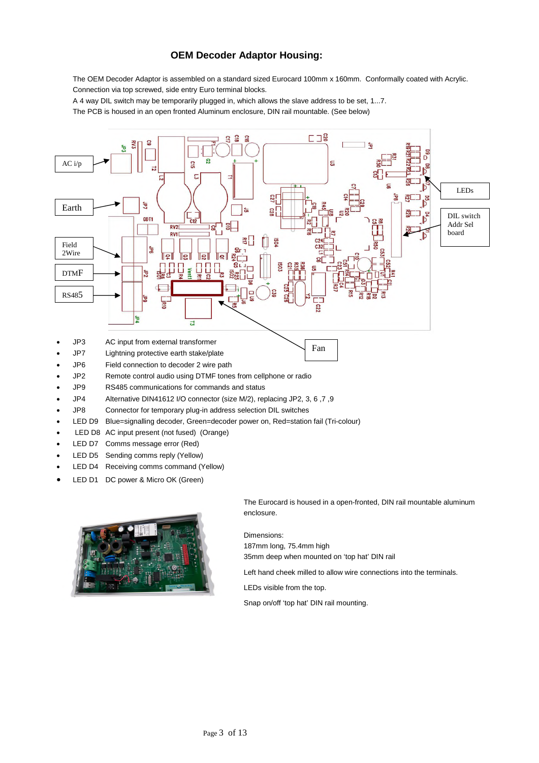## **OEM Decoder Adaptor Housing:**

The OEM Decoder Adaptor is assembled on a standard sized Eurocard 100mm x 160mm. Conformally coated with Acrylic. Connection via top screwed, side entry Euro terminal blocks.

A 4 way DIL switch may be temporarily plugged in, which allows the slave address to be set, 1...7.

The PCB is housed in an open fronted Aluminum enclosure, DIN rail mountable. (See below)



- JP2 Remote control audio using DTMF tones from cellphone or radio
- JP9 RS485 communications for commands and status
- JP4 Alternative DIN41612 I/O connector (size M/2), replacing JP2, 3, 6 ,7 ,9
- JP8 Connector for temporary plug-in address selection DIL switches
- LED D9 Blue=signalling decoder, Green=decoder power on, Red=station fail (Tri-colour)
- LED D8 AC input present (not fused) (Orange)
- LED D7 Comms message error (Red)
- LED D5 Sending comms reply (Yellow)
- LED D4 Receiving comms command (Yellow)
- LED D1 DC power & Micro OK (Green)



The Eurocard is housed in a open-fronted, DIN rail mountable aluminum enclosure.

Dimensions:

187mm long, 75.4mm high 35mm deep when mounted on 'top hat' DIN rail

Left hand cheek milled to allow wire connections into the terminals.

LEDs visible from the top.

Snap on/off 'top hat' DIN rail mounting.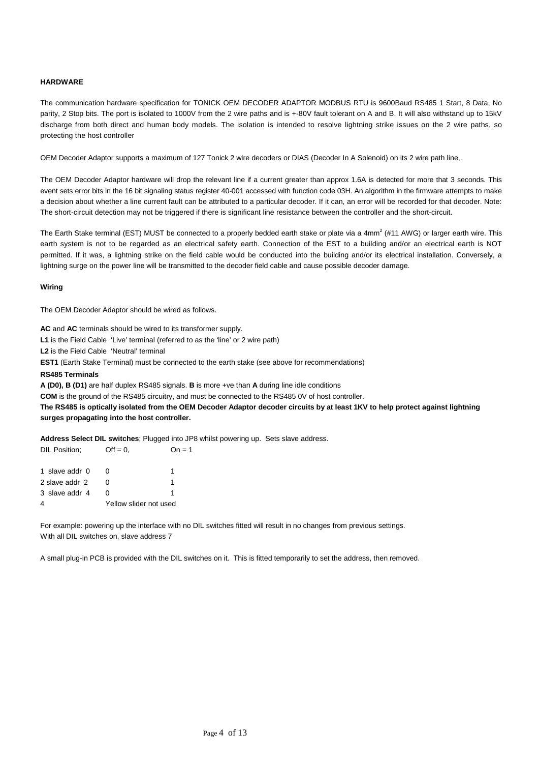#### **HARDWARE**

The communication hardware specification for TONICK OEM DECODER ADAPTOR MODBUS RTU is 9600Baud RS485 1 Start, 8 Data, No parity, 2 Stop bits. The port is isolated to 1000V from the 2 wire paths and is +-80V fault tolerant on A and B. It will also withstand up to 15kV discharge from both direct and human body models. The isolation is intended to resolve lightning strike issues on the 2 wire paths, so protecting the host controller

OEM Decoder Adaptor supports a maximum of 127 Tonick 2 wire decoders or DIAS (Decoder In A Solenoid) on its 2 wire path line,.

The OEM Decoder Adaptor hardware will drop the relevant line if a current greater than approx 1.6A is detected for more that 3 seconds. This event sets error bits in the 16 bit signaling status register 40-001 accessed with function code 03H. An algorithm in the firmware attempts to make a decision about whether a line current fault can be attributed to a particular decoder. If it can, an error will be recorded for that decoder. Note: The short-circuit detection may not be triggered if there is significant line resistance between the controller and the short-circuit.

The Earth Stake terminal (EST) MUST be connected to a properly bedded earth stake or plate via a 4mm<sup>2</sup> (#11 AWG) or larger earth wire. This earth system is not to be regarded as an electrical safety earth. Connection of the EST to a building and/or an electrical earth is NOT permitted. If it was, a lightning strike on the field cable would be conducted into the building and/or its electrical installation. Conversely, a lightning surge on the power line will be transmitted to the decoder field cable and cause possible decoder damage.

#### **Wiring**

The OEM Decoder Adaptor should be wired as follows.

**AC** and **AC** terminals should be wired to its transformer supply.

L1 is the Field Cable 'Live' terminal (referred to as the 'line' or 2 wire path)

**L2** is the Field Cable 'Neutral' terminal

**EST1** (Earth Stake Terminal) must be connected to the earth stake (see above for recommendations)

#### **RS485 Terminals**

**A (D0), B (D1)** are half duplex RS485 signals. **B** is more +ve than **A** during line idle conditions

**COM** is the ground of the RS485 circuitry, and must be connected to the RS485 0V of host controller.

**The RS485 is optically isolated from the OEM Decoder Adaptor decoder circuits by at least 1KV to help protect against lightning surges propagating into the host controller.**

**Address Select DIL switches**; Plugged into JP8 whilst powering up. Sets slave address.

| DIL Position;  | $Off = 0.$             | $On = 1$ |
|----------------|------------------------|----------|
| 1 slave addr 0 |                        |          |
| 2 slave addr 2 |                        |          |
| 3 slave addr 4 |                        |          |
| 4              | Yellow slider not used |          |

For example: powering up the interface with no DIL switches fitted will result in no changes from previous settings. With all DIL switches on, slave address 7

A small plug-in PCB is provided with the DIL switches on it. This is fitted temporarily to set the address, then removed.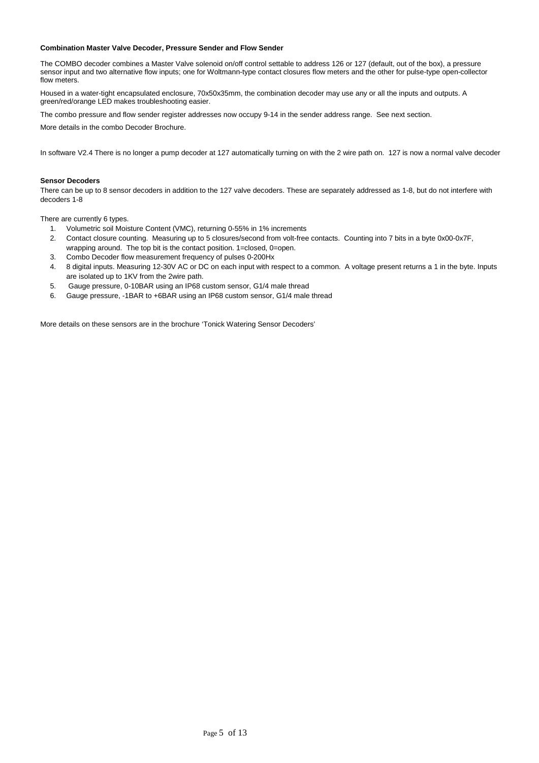#### **Combination Master Valve Decoder, Pressure Sender and Flow Sender**

The COMBO decoder combines a Master Valve solenoid on/off control settable to address 126 or 127 (default, out of the box), a pressure sensor input and two alternative flow inputs; one for Woltmann-type contact closures flow meters and the other for pulse-type open-collector flow meters.

Housed in a water-tight encapsulated enclosure, 70x50x35mm, the combination decoder may use any or all the inputs and outputs. A green/red/orange LED makes troubleshooting easier.

The combo pressure and flow sender register addresses now occupy 9-14 in the sender address range. See next section.

More details in the combo Decoder Brochure.

In software V2.4 There is no longer a pump decoder at 127 automatically turning on with the 2 wire path on. 127 is now a normal valve decoder

#### **Sensor Decoders**

There can be up to 8 sensor decoders in addition to the 127 valve decoders. These are separately addressed as 1-8, but do not interfere with decoders 1-8

There are currently 6 types.

- 1. Volumetric soil Moisture Content (VMC), returning 0-55% in 1% increments
- 2. Contact closure counting. Measuring up to 5 closures/second from volt-free contacts. Counting into 7 bits in a byte 0x00-0x7F, wrapping around. The top bit is the contact position. 1=closed, 0=open.
- 3. Combo Decoder flow measurement frequency of pulses 0-200Hx
- 4. 8 digital inputs. Measuring 12-30V AC or DC on each input with respect to a common. A voltage present returns a 1 in the byte. Inputs are isolated up to 1KV from the 2wire path.
- 5. Gauge pressure, 0-10BAR using an IP68 custom sensor, G1/4 male thread
- 6. Gauge pressure, -1BAR to +6BAR using an IP68 custom sensor, G1/4 male thread

More details on these sensors are in the brochure 'Tonick Watering Sensor Decoders'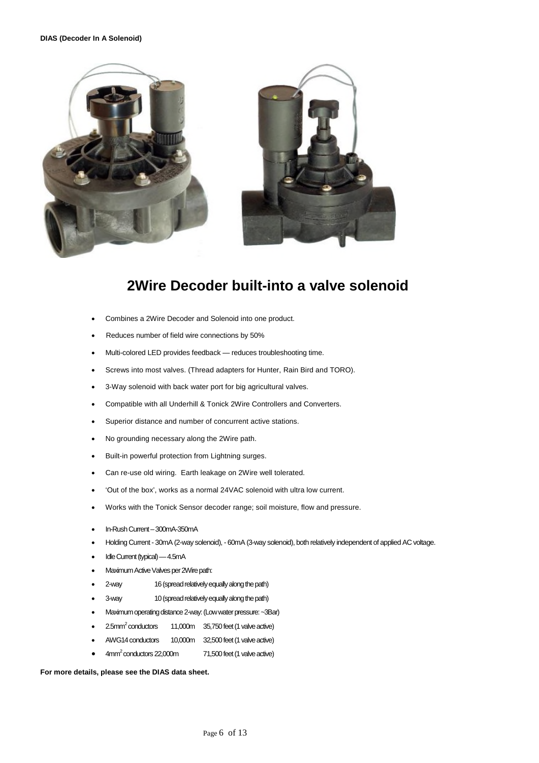#### **DIAS (Decoder In A Solenoid)**



# **2Wire Decoder built-into a valve solenoid**

- Combines a 2Wire Decoder and Solenoid into one product.
- Reduces number of field wire connections by 50%
- Multi-colored LED provides feedback reduces troubleshooting time.
- Screws into most valves. (Thread adapters for Hunter, Rain Bird and TORO).
- 3-Way solenoid with back water port for big agricultural valves.
- Compatible with all Underhill & Tonick 2Wire Controllers and Converters.
- Superior distance and number of concurrent active stations.
- No grounding necessary along the 2Wire path.
- Built-in powerful protection from Lightning surges.
- Can re-use old wiring. Earth leakage on 2Wire well tolerated.
- 'Out of the box', works as a normal 24VAC solenoid with ultra low current.
- Works with the Tonick Sensor decoder range; soil moisture, flow and pressure.
- In-Rush Current 300mA-350mA
- Holding Current 30mA (2-way solenoid), 60mA (3-way solenoid), both relatively independent of applied AC voltage.
- Idle Current (typical) 4.5mA
- Maximum Active Valves per 2Wire path:
- 2-way 16 (spread relatively equally along the path)
- 3-way 10 (spread relatively equally along the path)
- Maximum operating distance 2-way: (Low water pressure: ~3Bar)
- $2.5$ mm $^2$  conductors 11,000m 35,750 feet (1 valve active)
- AWG14 conductors 10,000m 32,500 feet (1 valve active)
- 4mm<sup>2</sup> conductors 22,000m 71,500 feet (1 valve active)

#### **For more details, please see the DIAS data sheet.**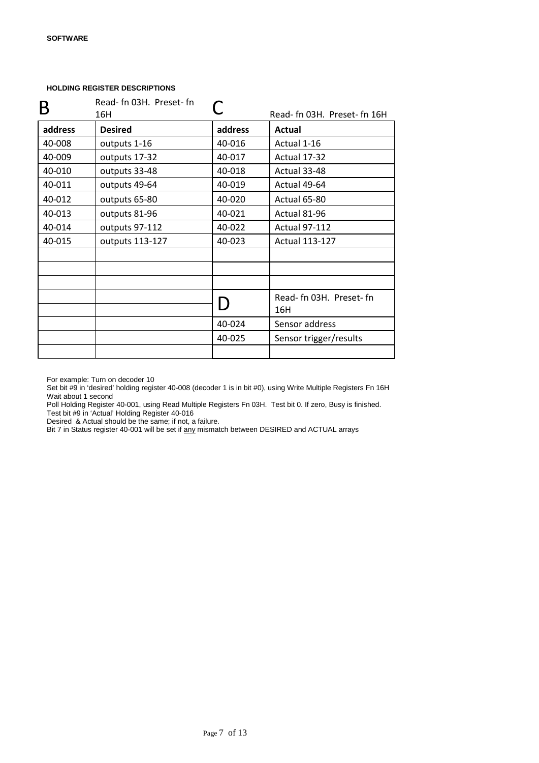| B       | Read- fn 03H. Preset- fn |         |                               |
|---------|--------------------------|---------|-------------------------------|
|         | 16H                      |         | Read- fn 03H. Preset- fn 16H  |
| address | <b>Desired</b>           | address | <b>Actual</b>                 |
| 40-008  | outputs 1-16             | 40-016  | Actual 1-16                   |
| 40-009  | outputs 17-32            | 40-017  | Actual 17-32                  |
| 40-010  | outputs 33-48            | 40-018  | Actual 33-48                  |
| 40-011  | outputs 49-64            | 40-019  | Actual 49-64                  |
| 40-012  | outputs 65-80            | 40-020  | Actual 65-80                  |
| 40-013  | outputs 81-96            | 40-021  | Actual 81-96                  |
| 40-014  | outputs 97-112           | 40-022  | <b>Actual 97-112</b>          |
| 40-015  | outputs 113-127          | 40-023  | <b>Actual 113-127</b>         |
|         |                          |         |                               |
|         |                          |         |                               |
|         |                          |         |                               |
|         |                          |         | Read-fn 03H. Preset-fn<br>16H |
|         |                          | 40-024  | Sensor address                |
|         |                          | 40-025  | Sensor trigger/results        |
|         |                          |         |                               |

For example: Turn on decoder 10

Set bit #9 in 'desired' holding register 40-008 (decoder 1 is in bit #0), using Write Multiple Registers Fn 16H Wait about 1 second

Poll Holding Register 40-001, using Read Multiple Registers Fn 03H. Test bit 0. If zero, Busy is finished. Test bit #9 in 'Actual' Holding Register 40-016

Desired & Actual should be the same; if not, a failure.

Bit 7 in Status register 40-001 will be set if any mismatch between DESIRED and ACTUAL arrays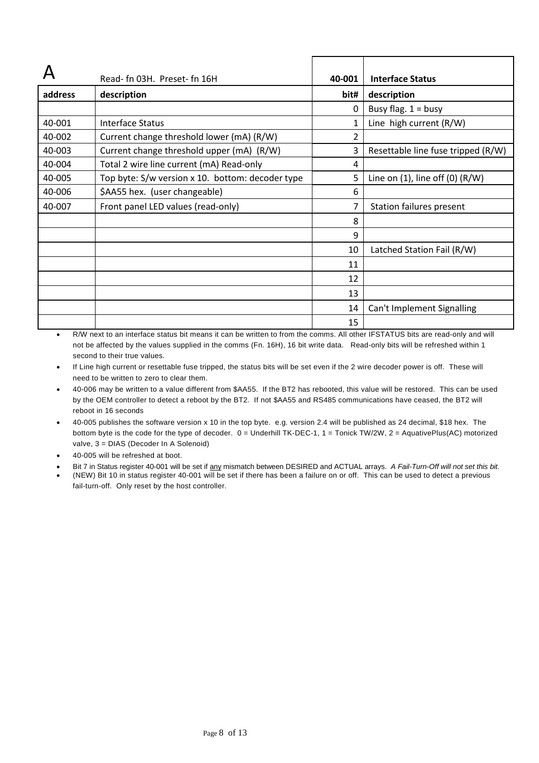|         | Read- fn 03H. Preset- fn 16H                     | 40-001 | <b>Interface Status</b>                |
|---------|--------------------------------------------------|--------|----------------------------------------|
| address | description                                      | bit#   | description                            |
|         |                                                  | 0      | Busy flag. $1 =$ busy                  |
| 40-001  | Interface Status                                 | 1      | Line high current (R/W)                |
| 40-002  | Current change threshold lower (mA) (R/W)        | 2      |                                        |
| 40-003  | Current change threshold upper (mA) (R/W)        | 3      | Resettable line fuse tripped (R/W)     |
| 40-004  | Total 2 wire line current (mA) Read-only         | 4      |                                        |
| 40-005  | Top byte: S/w version x 10. bottom: decoder type | 5      | Line on $(1)$ , line off $(0)$ $(R/W)$ |
| 40-006  | \$AA55 hex. (user changeable)                    | 6      |                                        |
| 40-007  | Front panel LED values (read-only)               |        | <b>Station failures present</b>        |
|         |                                                  | 8      |                                        |
|         |                                                  | 9      |                                        |
|         |                                                  | 10     | Latched Station Fail (R/W)             |
|         |                                                  | 11     |                                        |
|         |                                                  | 12     |                                        |
|         |                                                  | 13     |                                        |
|         |                                                  | 14     | Can't Implement Signalling             |
|         |                                                  | 15     |                                        |

• R/W next to an interface status bit means it can be written to from the comms. All other IFSTATUS bits are read-only and will not be affected by the values supplied in the comms (Fn. 16H), 16 bit write data. Read-only bits will be refreshed within 1 second to their true values.

If Line high current or resettable fuse tripped, the status bits will be set even if the 2 wire decoder power is off. These will need to be written to zero to clear them.

- 40-006 may be written to a value different from \$AA55. If the BT2 has rebooted, this value will be restored. This can be used by the OEM controller to detect a reboot by the BT2. If not \$AA55 and RS485 communications have ceased, the BT2 will reboot in 16 seconds
- 40-005 publishes the software version x 10 in the top byte. e.g. version 2.4 will be published as 24 decimal, \$18 hex. The bottom byte is the code for the type of decoder. 0 = Underhill TK-DEC-1, 1 = Tonick TW/2W, 2 = AquativePlus(AC) motorized valve, 3 = DIAS (Decoder In A Solenoid)
- 40-005 will be refreshed at boot.
- Bit 7 in Status register 40-001 will be set if any mismatch between DESIRED and ACTUAL arrays. A Fail-Turn-Off will not set this bit.
- (NEW) Bit 10 in status register 40-001 will be set if there has been a failure on or off. This can be used to detect a previous fail-turn-off. Only reset by the host controller.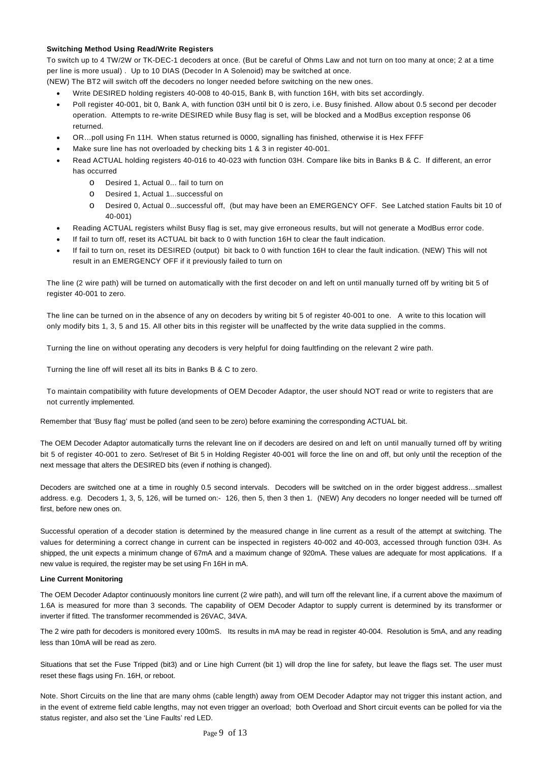#### **Switching Method Using Read/Write Registers**

To switch up to 4 TW/2W or TK-DEC-1 decoders at once. (But be careful of Ohms Law and not turn on too many at once; 2 at a time per line is more usual) . Up to 10 DIAS (Decoder In A Solenoid) may be switched at once.

(NEW) The BT2 will switch off the decoders no longer needed before switching on the new ones.

- Write DESIRED holding registers 40-008 to 40-015, Bank B, with function 16H, with bits set accordingly.
- Poll register 40-001, bit 0, Bank A, with function 03H until bit 0 is zero, i.e. Busy finished. Allow about 0.5 second per decoder operation. Attempts to re-write DESIRED while Busy flag is set, will be blocked and a ModBus exception response 06 returned.
- OR…poll using Fn 11H. When status returned is 0000, signalling has finished, otherwise it is Hex FFFF
- Make sure line has not overloaded by checking bits 1 & 3 in register 40-001.
- Read ACTUAL holding registers 40-016 to 40-023 with function 03H. Compare like bits in Banks B & C. If different, an error has occurred
	- o Desired 1, Actual 0... fail to turn on
	- o Desired 1, Actual 1...successful on
	- o Desired 0, Actual 0...successful off, (but may have been an EMERGENCY OFF. See Latched station Faults bit 10 of 40-001)
- Reading ACTUAL registers whilst Busy flag is set, may give erroneous results, but will not generate a ModBus error code.
- If fail to turn off, reset its ACTUAL bit back to 0 with function 16H to clear the fault indication.
- If fail to turn on, reset its DESIRED (output) bit back to 0 with function 16H to clear the fault indication. (NEW) This will not result in an EMERGENCY OFF if it previously failed to turn on

The line (2 wire path) will be turned on automatically with the first decoder on and left on until manually turned off by writing bit 5 of register 40-001 to zero.

The line can be turned on in the absence of any on decoders by writing bit 5 of register 40-001 to one. A write to this location will only modify bits 1, 3, 5 and 15. All other bits in this register will be unaffected by the write data supplied in the comms.

Turning the line on without operating any decoders is very helpful for doing faultfinding on the relevant 2 wire path.

Turning the line off will reset all its bits in Banks B & C to zero.

To maintain compatibility with future developments of OEM Decoder Adaptor, the user should NOT read or write to registers that are not currently implemented.

Remember that 'Busy flag' must be polled (and seen to be zero) before examining the corresponding ACTUAL bit.

The OEM Decoder Adaptor automatically turns the relevant line on if decoders are desired on and left on until manually turned off by writing bit 5 of register 40-001 to zero. Set/reset of Bit 5 in Holding Register 40-001 will force the line on and off, but only until the reception of the next message that alters the DESIRED bits (even if nothing is changed).

Decoders are switched one at a time in roughly 0.5 second intervals. Decoders will be switched on in the order biggest address…smallest address. e.g. Decoders 1, 3, 5, 126, will be turned on:- 126, then 5, then 3 then 1. (NEW) Any decoders no longer needed will be turned off first, before new ones on.

Successful operation of a decoder station is determined by the measured change in line current as a result of the attempt at switching. The values for determining a correct change in current can be inspected in registers 40-002 and 40-003, accessed through function 03H. As shipped, the unit expects a minimum change of 67mA and a maximum change of 920mA. These values are adequate for most applications. If a new value is required, the register may be set using Fn 16H in mA.

#### **Line Current Monitoring**

The OEM Decoder Adaptor continuously monitors line current (2 wire path), and will turn off the relevant line, if a current above the maximum of 1.6A is measured for more than 3 seconds. The capability of OEM Decoder Adaptor to supply current is determined by its transformer or inverter if fitted. The transformer recommended is 26VAC, 34VA.

The 2 wire path for decoders is monitored every 100mS. Its results in mA may be read in register 40-004. Resolution is 5mA, and any reading less than 10mA will be read as zero.

Situations that set the Fuse Tripped (bit3) and or Line high Current (bit 1) will drop the line for safety, but leave the flags set. The user must reset these flags using Fn. 16H, or reboot.

Note. Short Circuits on the line that are many ohms (cable length) away from OEM Decoder Adaptor may not trigger this instant action, and in the event of extreme field cable lengths, may not even trigger an overload; both Overload and Short circuit events can be polled for via the status register, and also set the 'Line Faults' red LED.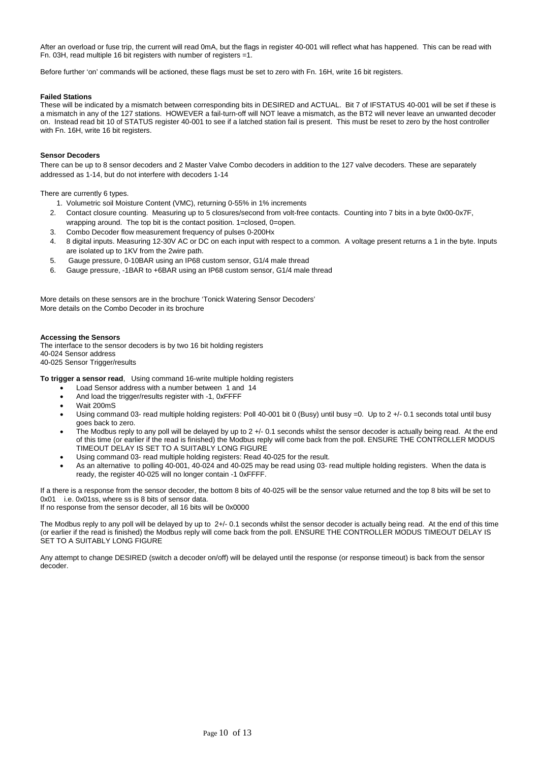After an overload or fuse trip, the current will read 0mA, but the flags in register 40-001 will reflect what has happened. This can be read with Fn. 03H, read multiple 16 bit registers with number of registers =1.

Before further 'on' commands will be actioned, these flags must be set to zero with Fn. 16H, write 16 bit registers.

#### **Failed Stations**

These will be indicated by a mismatch between corresponding bits in DESIRED and ACTUAL. Bit 7 of IFSTATUS 40-001 will be set if these is a mismatch in any of the 127 stations. HOWEVER a fail-turn-off will NOT leave a mismatch, as the BT2 will never leave an unwanted decoder on. Instead read bit 10 of STATUS register 40-001 to see if a latched station fail is present. This must be reset to zero by the host controller with Fn. 16H, write 16 bit registers.

#### **Sensor Decoders**

There can be up to 8 sensor decoders and 2 Master Valve Combo decoders in addition to the 127 valve decoders. These are separately addressed as 1-14, but do not interfere with decoders 1-14

There are currently 6 types.

- 1. Volumetric soil Moisture Content (VMC), returning 0-55% in 1% increments
- 2. Contact closure counting. Measuring up to 5 closures/second from volt-free contacts. Counting into 7 bits in a byte 0x00-0x7F, wrapping around. The top bit is the contact position. 1=closed, 0=open.
- 3. Combo Decoder flow measurement frequency of pulses 0-200Hx
- 4. 8 digital inputs. Measuring 12-30V AC or DC on each input with respect to a common. A voltage present returns a 1 in the byte. Inputs are isolated up to 1KV from the 2wire path.
- 5. Gauge pressure, 0-10BAR using an IP68 custom sensor, G1/4 male thread
- 6. Gauge pressure, -1BAR to +6BAR using an IP68 custom sensor, G1/4 male thread

More details on these sensors are in the brochure 'Tonick Watering Sensor Decoders' More details on the Combo Decoder in its brochure

#### **Accessing the Sensors**

The interface to the sensor decoders is by two 16 bit holding registers 40-024 Sensor address 40-025 Sensor Trigger/results

**To trigger a sensor read**, Using command 16-write multiple holding registers

- Load Sensor address with a number between 1 and 14
- And load the trigger/results register with -1, 0xFFFF
- Wait 200mS
- Using command 03- read multiple holding registers: Poll 40-001 bit 0 (Busy) until busy =0. Up to 2 +/- 0.1 seconds total until busy goes back to zero.
- The Modbus reply to any poll will be delayed by up to 2 +/- 0.1 seconds whilst the sensor decoder is actually being read. At the end of this time (or earlier if the read is finished) the Modbus reply will come back from the poll. ENSURE THE CONTROLLER MODUS TIMEOUT DELAY IS SET TO A SUITABLY LONG FIGURE
- Using command 03- read multiple holding registers: Read 40-025 for the result.
- As an alternative to polling 40-001, 40-024 and 40-025 may be read using 03- read multiple holding registers. When the data is ready, the register 40-025 will no longer contain -1 0xFFFF.

If a there is a response from the sensor decoder, the bottom 8 bits of 40-025 will be the sensor value returned and the top 8 bits will be set to 0x01 i.e. 0x01ss, where ss is 8 bits of sensor data. If no response from the sensor decoder, all 16 bits will be 0x0000

The Modbus reply to any poll will be delayed by up to 2+/- 0.1 seconds whilst the sensor decoder is actually being read. At the end of this time (or earlier if the read is finished) the Modbus reply will come back from the poll. ENSURE THE CONTROLLER MODUS TIMEOUT DELAY IS SET TO A SUITABLY LONG FIGURE

Any attempt to change DESIRED (switch a decoder on/off) will be delayed until the response (or response timeout) is back from the sensor decoder.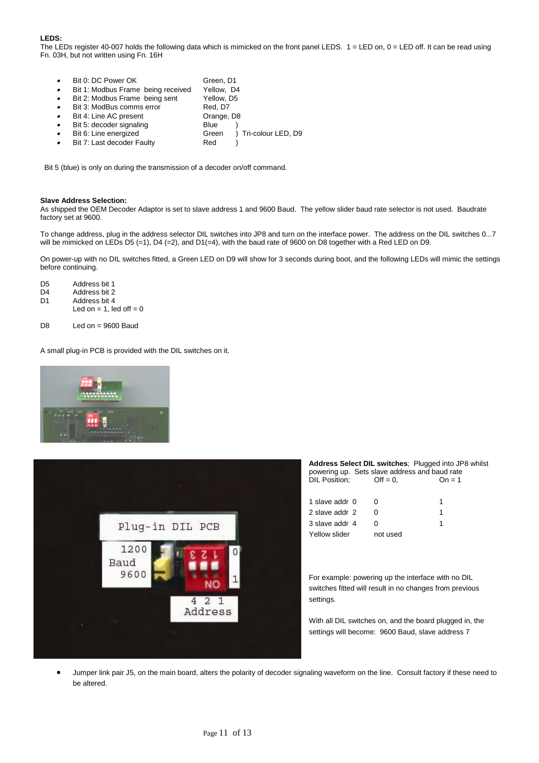#### **LEDS:**

The LEDs register 40-007 holds the following data which is mimicked on the front panel LEDS.  $1 =$  LED on,  $0 =$  LED off. It can be read using Fn. 03H, but not written using Fn. 16H

|           | Bit 0: DC Power OK                 | Green, D1                     |
|-----------|------------------------------------|-------------------------------|
| $\bullet$ | Bit 1: Modbus Frame being received | Yellow, D4                    |
| $\bullet$ | Bit 2: Modbus Frame being sent     | Yellow, D5                    |
| $\bullet$ | Bit 3: ModBus comms error          | Red, D7                       |
| $\bullet$ | Bit 4: Line AC present             | Orange, D8                    |
| $\bullet$ | Bit 5: decoder signaling           | <b>Blue</b>                   |
| $\bullet$ | Bit 6: Line energized              | ) Tri-colour LED, D9<br>Green |
| $\bullet$ | Bit 7: Last decoder Faulty         | Red                           |

Bit 5 (blue) is only on during the transmission of a decoder on/off command.

#### **Slave Address Selection:**

As shipped the OEM Decoder Adaptor is set to slave address 1 and 9600 Baud. The yellow slider baud rate selector is not used. Baudrate factory set at 9600.

To change address, plug in the address selector DIL switches into JP8 and turn on the interface power. The address on the DIL switches 0...7 will be mimicked on LEDs D5 (=1), D4 (=2), and D1(=4), with the baud rate of 9600 on D8 together with a Red LED on D9.

On power-up with no DIL switches fitted, a Green LED on D9 will show for 3 seconds during boot, and the following LEDs will mimic the settings before continuing.

| D5 | Address bit 1                |
|----|------------------------------|
| D4 | Address bit 2                |
| D1 | Address bit 4                |
|    | Led on $= 1$ , led off $= 0$ |

D8 Led on = 9600 Baud

A small plug-in PCB is provided with the DIL switches on it.





| Address Select DIL switches; Plugged into JP8 whilst<br>powering up. Sets slave address and baud rate |            |          |  |
|-------------------------------------------------------------------------------------------------------|------------|----------|--|
| DIL Position:                                                                                         | $Off = 0.$ | $On = 1$ |  |
| 1 slave addr 0                                                                                        |            | 1        |  |
| 2 slave addr 2                                                                                        |            | 1        |  |
| 3 slave addr 4                                                                                        |            |          |  |
| Yellow slider                                                                                         | not used   |          |  |

For example: powering up the interface with no DIL switches fitted will result in no changes from previous settings.

With all DIL switches on, and the board plugged in, the settings will become: 9600 Baud, slave address 7

• Jumper link pair J5, on the main board, alters the polarity of decoder signaling waveform on the line. Consult factory if these need to be altered.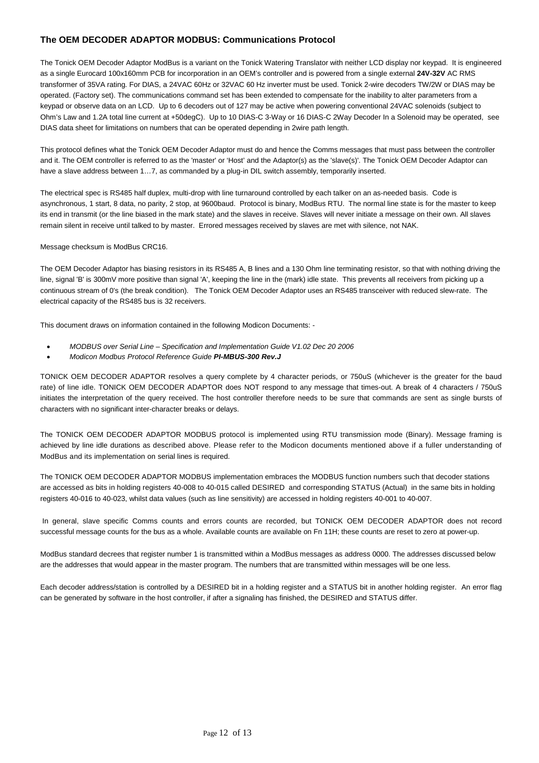### **The OEM DECODER ADAPTOR MODBUS: Communications Protocol**

The Tonick OEM Decoder Adaptor ModBus is a variant on the Tonick Watering Translator with neither LCD display nor keypad. It is engineered as a single Eurocard 100x160mm PCB for incorporation in an OEM's controller and is powered from a single external **24V-32V** AC RMS transformer of 35VA rating. For DIAS, a 24VAC 60Hz or 32VAC 60 Hz inverter must be used. Tonick 2-wire decoders TW/2W or DIAS may be operated. (Factory set). The communications command set has been extended to compensate for the inability to alter parameters from a keypad or observe data on an LCD. Up to 6 decoders out of 127 may be active when powering conventional 24VAC solenoids (subject to Ohm's Law and 1.2A total line current at +50degC). Up to 10 DIAS-C 3-Way or 16 DIAS-C 2Way Decoder In a Solenoid may be operated, see DIAS data sheet for limitations on numbers that can be operated depending in 2wire path length.

This protocol defines what the Tonick OEM Decoder Adaptor must do and hence the Comms messages that must pass between the controller and it. The OEM controller is referred to as the 'master' or 'Host' and the Adaptor(s) as the 'slave(s)'. The Tonick OEM Decoder Adaptor can have a slave address between 1…7, as commanded by a plug-in DIL switch assembly, temporarily inserted.

The electrical spec is RS485 half duplex, multi-drop with line turnaround controlled by each talker on an as-needed basis. Code is asynchronous, 1 start, 8 data, no parity, 2 stop, at 9600baud. Protocol is binary, ModBus RTU. The normal line state is for the master to keep its end in transmit (or the line biased in the mark state) and the slaves in receive. Slaves will never initiate a message on their own. All slaves remain silent in receive until talked to by master. Errored messages received by slaves are met with silence, not NAK.

Message checksum is ModBus CRC16.

The OEM Decoder Adaptor has biasing resistors in its RS485 A, B lines and a 130 Ohm line terminating resistor, so that with nothing driving the line, signal 'B' is 300mV more positive than signal 'A', keeping the line in the (mark) idle state. This prevents all receivers from picking up a continuous stream of 0's (the break condition). The Tonick OEM Decoder Adaptor uses an RS485 transceiver with reduced slew-rate. The electrical capacity of the RS485 bus is 32 receivers.

This document draws on information contained in the following Modicon Documents: -

- *MODBUS over Serial Line Specification and Implementation Guide V1.02 Dec 20 2006*
- *Modicon Modbus Protocol Reference Guide PI-MBUS-300 Rev.J*

TONICK OEM DECODER ADAPTOR resolves a query complete by 4 character periods, or 750uS (whichever is the greater for the baud rate) of line idle. TONICK OEM DECODER ADAPTOR does NOT respond to any message that times-out. A break of 4 characters / 750uS initiates the interpretation of the query received. The host controller therefore needs to be sure that commands are sent as single bursts of characters with no significant inter-character breaks or delays.

The TONICK OEM DECODER ADAPTOR MODBUS protocol is implemented using RTU transmission mode (Binary). Message framing is achieved by line idle durations as described above. Please refer to the Modicon documents mentioned above if a fuller understanding of ModBus and its implementation on serial lines is required.

The TONICK OEM DECODER ADAPTOR MODBUS implementation embraces the MODBUS function numbers such that decoder stations are accessed as bits in holding registers 40-008 to 40-015 called DESIRED and corresponding STATUS (Actual) in the same bits in holding registers 40-016 to 40-023, whilst data values (such as line sensitivity) are accessed in holding registers 40-001 to 40-007.

In general, slave specific Comms counts and errors counts are recorded, but TONICK OEM DECODER ADAPTOR does not record successful message counts for the bus as a whole. Available counts are available on Fn 11H; these counts are reset to zero at power-up.

ModBus standard decrees that register number 1 is transmitted within a ModBus messages as address 0000. The addresses discussed below are the addresses that would appear in the master program. The numbers that are transmitted within messages will be one less.

Each decoder address/station is controlled by a DESIRED bit in a holding register and a STATUS bit in another holding register. An error flag can be generated by software in the host controller, if after a signaling has finished, the DESIRED and STATUS differ.